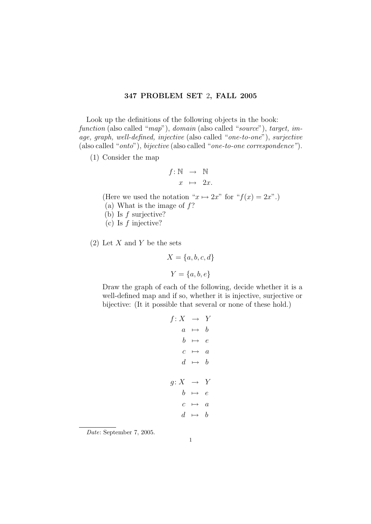## 347 PROBLEM SET 2, FALL 2005

Look up the definitions of the following objects in the book: function (also called "map"), domain (also called "source"), target, image, graph, well-defined, injective (also called "one-to-one"), surjective (also called "onto"), bijective (also called "one-to-one correspondence").

(1) Consider the map

$$
f: \mathbb{N} \rightarrow \mathbb{N}
$$

$$
x \mapsto 2x.
$$

(Here we used the notation " $x \mapsto 2x$ " for " $f(x) = 2x$ ".)

- (a) What is the image of  $f$ ?
- (b) Is f surjective?
- (c) Is  $f$  injective?
- $(2)$  Let X and Y be the sets

$$
X = \{a, b, c, d\}
$$

$$
Y = \{a, b, e\}
$$

Draw the graph of each of the following, decide whether it is a well-defined map and if so, whether it is injective, surjective or bijective: (It it possible that several or none of these hold.)

$$
f: X \rightarrow Y
$$

$$
a \mapsto b
$$

$$
b \mapsto e
$$

$$
c \mapsto a
$$

$$
d \mapsto b
$$

$$
g: X \rightarrow Y
$$

$$
b \mapsto e
$$

$$
c \mapsto a
$$

$$
d \mapsto b
$$

Date: September 7, 2005.